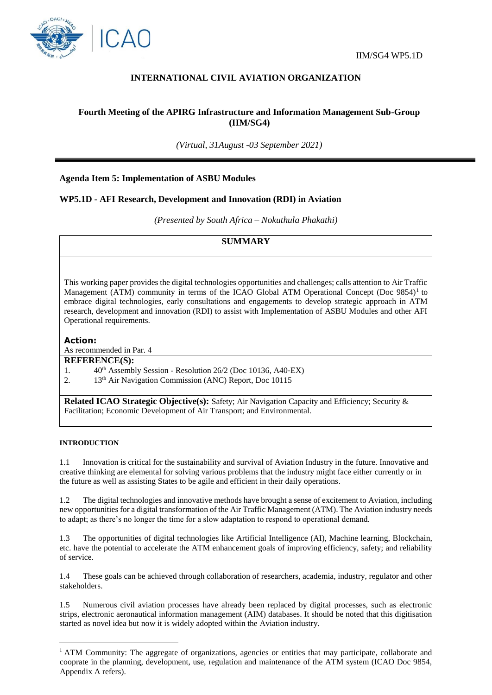

# **INTERNATIONAL CIVIL AVIATION ORGANIZATION**

# **Fourth Meeting of the APIRG Infrastructure and Information Management Sub-Group (IIM/SG4)**

*(Virtual, 31August -03 September 2021)*

## **Agenda Item 5: Implementation of ASBU Modules**

## **WP5.1D - AFI Research, Development and Innovation (RDI) in Aviation**

*(Presented by South Africa – Nokuthula Phakathi)*

## **SUMMARY**

This working paper provides the digital technologies opportunities and challenges; calls attention to Air Traffic Management (ATM) community in terms of the ICAO Global ATM Operational Concept (Doc 9854)<sup>1</sup> to embrace digital technologies, early consultations and engagements to develop strategic approach in ATM research, development and innovation (RDI) to assist with Implementation of ASBU Modules and other AFI Operational requirements.

### **Action:**

As recommended in Par. 4

#### **REFERENCE(S):**

1. 40th Assembly Session - Resolution 26/2 (Doc 10136, A40‐EX)

2. 13<sup>th</sup> Air Navigation Commission (ANC) Report, Doc 10115

**Related ICAO Strategic Objective(s):** Safety; Air Navigation Capacity and Efficiency; Security & Facilitation; Economic Development of Air Transport; and Environmental.

#### **INTRODUCTION**

1

1.1 Innovation is critical for the sustainability and survival of Aviation Industry in the future. Innovative and creative thinking are elemental for solving various problems that the industry might face either currently or in the future as well as assisting States to be agile and efficient in their daily operations.

1.2 The digital technologies and innovative methods have brought a sense of excitement to Aviation, including new opportunities for a digital transformation of the Air Traffic Management (ATM). The Aviation industry needs to adapt; as there's no longer the time for a slow adaptation to respond to operational demand.

1.3 The opportunities of digital technologies like Artificial Intelligence (AI), Machine learning, Blockchain, etc. have the potential to accelerate the ATM enhancement goals of improving efficiency, safety; and reliability of service.

1.4 These goals can be achieved through collaboration of researchers, academia, industry, regulator and other stakeholders.

1.5 Numerous civil aviation processes have already been replaced by digital processes, such as electronic strips, electronic aeronautical information management (AIM) databases. It should be noted that this digitisation started as novel idea but now it is widely adopted within the Aviation industry.

<sup>&</sup>lt;sup>1</sup> ATM Community: The aggregate of organizations, agencies or entities that may participate, collaborate and cooprate in the planning, development, use, regulation and maintenance of the ATM system (ICAO Doc 9854, Appendix A refers).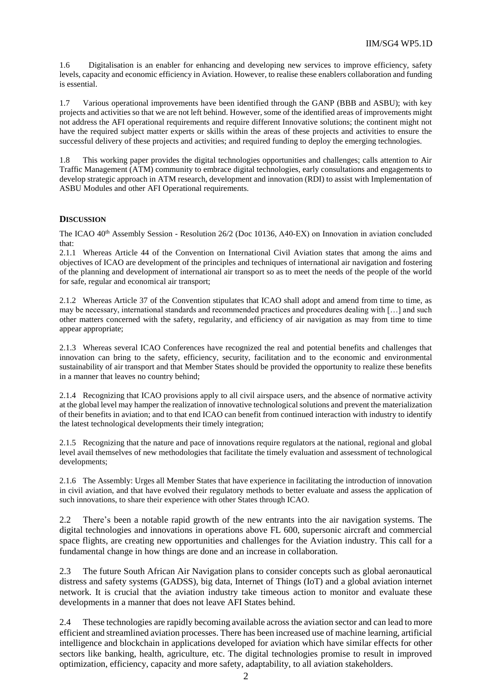1.6 Digitalisation is an enabler for enhancing and developing new services to improve efficiency, safety levels, capacity and economic efficiency in Aviation. However, to realise these enablers collaboration and funding is essential.

1.7 Various operational improvements have been identified through the GANP (BBB and ASBU); with key projects and activities so that we are not left behind. However, some of the identified areas of improvements might not address the AFI operational requirements and require different Innovative solutions; the continent might not have the required subject matter experts or skills within the areas of these projects and activities to ensure the successful delivery of these projects and activities; and required funding to deploy the emerging technologies.

1.8 This working paper provides the digital technologies opportunities and challenges; calls attention to Air Traffic Management (ATM) community to embrace digital technologies, early consultations and engagements to develop strategic approach in ATM research, development and innovation (RDI) to assist with Implementation of ASBU Modules and other AFI Operational requirements.

### **DISCUSSION**

The ICAO  $40<sup>th</sup>$  Assembly Session - Resolution 26/2 (Doc 10136, A40-EX) on Innovation in aviation concluded that:

2.1.1 Whereas Article 44 of the Convention on International Civil Aviation states that among the aims and objectives of ICAO are development of the principles and techniques of international air navigation and fostering of the planning and development of international air transport so as to meet the needs of the people of the world for safe, regular and economical air transport;

2.1.2 Whereas Article 37 of the Convention stipulates that ICAO shall adopt and amend from time to time, as may be necessary, international standards and recommended practices and procedures dealing with […] and such other matters concerned with the safety, regularity, and efficiency of air navigation as may from time to time appear appropriate;

2.1.3 Whereas several ICAO Conferences have recognized the real and potential benefits and challenges that innovation can bring to the safety, efficiency, security, facilitation and to the economic and environmental sustainability of air transport and that Member States should be provided the opportunity to realize these benefits in a manner that leaves no country behind;

2.1.4 Recognizing that ICAO provisions apply to all civil airspace users, and the absence of normative activity at the global level may hamper the realization of innovative technological solutions and prevent the materialization of their benefits in aviation; and to that end ICAO can benefit from continued interaction with industry to identify the latest technological developments their timely integration;

2.1.5 Recognizing that the nature and pace of innovations require regulators at the national, regional and global level avail themselves of new methodologies that facilitate the timely evaluation and assessment of technological developments;

2.1.6 The Assembly: Urges all Member States that have experience in facilitating the introduction of innovation in civil aviation, and that have evolved their regulatory methods to better evaluate and assess the application of such innovations, to share their experience with other States through ICAO.

2.2 There's been a notable rapid growth of the new entrants into the air navigation systems. The digital technologies and innovations in operations above FL 600, supersonic aircraft and commercial space flights, are creating new opportunities and challenges for the Aviation industry. This call for a fundamental change in how things are done and an increase in collaboration.

2.3 The future South African Air Navigation plans to consider concepts such as global aeronautical distress and safety systems (GADSS), big data, Internet of Things (IoT) and a global aviation internet network. It is crucial that the aviation industry take timeous action to monitor and evaluate these developments in a manner that does not leave AFI States behind.

2.4 These technologies are rapidly becoming available across the aviation sector and can lead to more efficient and streamlined aviation processes. There has been increased use of machine learning, artificial intelligence and blockchain in applications developed for aviation which have similar effects for other sectors like banking, health, agriculture, etc. The digital technologies promise to result in improved optimization, efficiency, capacity and more safety, adaptability, to all aviation stakeholders.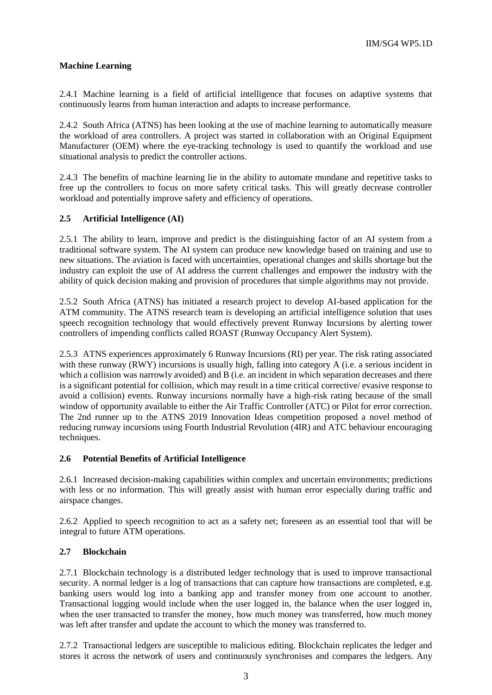## **Machine Learning**

2.4.1 Machine learning is a field of artificial intelligence that focuses on adaptive systems that continuously learns from human interaction and adapts to increase performance.

2.4.2 South Africa (ATNS) has been looking at the use of machine learning to automatically measure the workload of area controllers. A project was started in collaboration with an Original Equipment Manufacturer (OEM) where the eye-tracking technology is used to quantify the workload and use situational analysis to predict the controller actions.

2.4.3 The benefits of machine learning lie in the ability to automate mundane and repetitive tasks to free up the controllers to focus on more safety critical tasks. This will greatly decrease controller workload and potentially improve safety and efficiency of operations.

## **2.5 Artificial Intelligence (AI)**

2.5.1 The ability to learn, improve and predict is the distinguishing factor of an AI system from a traditional software system. The AI system can produce new knowledge based on training and use to new situations. The aviation is faced with uncertainties, operational changes and skills shortage but the industry can exploit the use of AI address the current challenges and empower the industry with the ability of quick decision making and provision of procedures that simple algorithms may not provide.

2.5.2 South Africa (ATNS) has initiated a research project to develop AI-based application for the ATM community. The ATNS research team is developing an artificial intelligence solution that uses speech recognition technology that would effectively prevent Runway Incursions by alerting tower controllers of impending conflicts called ROAST (Runway Occupancy Alert System).

2.5.3 ATNS experiences approximately 6 Runway Incursions (RI) per year. The risk rating associated with these runway (RWY) incursions is usually high, falling into category A (i.e. a serious incident in which a collision was narrowly avoided) and B (i.e. an incident in which separation decreases and there is a significant potential for collision, which may result in a time critical corrective/ evasive response to avoid a collision) events. Runway incursions normally have a high-risk rating because of the small window of opportunity available to either the Air Traffic Controller (ATC) or Pilot for error correction. The 2nd runner up to the ATNS 2019 Innovation Ideas competition proposed a novel method of reducing runway incursions using Fourth Industrial Revolution (4IR) and ATC behaviour encouraging techniques.

## **2.6 Potential Benefits of Artificial Intelligence**

2.6.1 Increased decision-making capabilities within complex and uncertain environments; predictions with less or no information. This will greatly assist with human error especially during traffic and airspace changes.

2.6.2 Applied to speech recognition to act as a safety net; foreseen as an essential tool that will be integral to future ATM operations.

## **2.7 Blockchain**

2.7.1 Blockchain technology is a distributed ledger technology that is used to improve transactional security. A normal ledger is a log of transactions that can capture how transactions are completed, e.g. banking users would log into a banking app and transfer money from one account to another. Transactional logging would include when the user logged in, the balance when the user logged in, when the user transacted to transfer the money, how much money was transferred, how much money was left after transfer and update the account to which the money was transferred to.

2.7.2 Transactional ledgers are susceptible to malicious editing. Blockchain replicates the ledger and stores it across the network of users and continuously synchronises and compares the ledgers. Any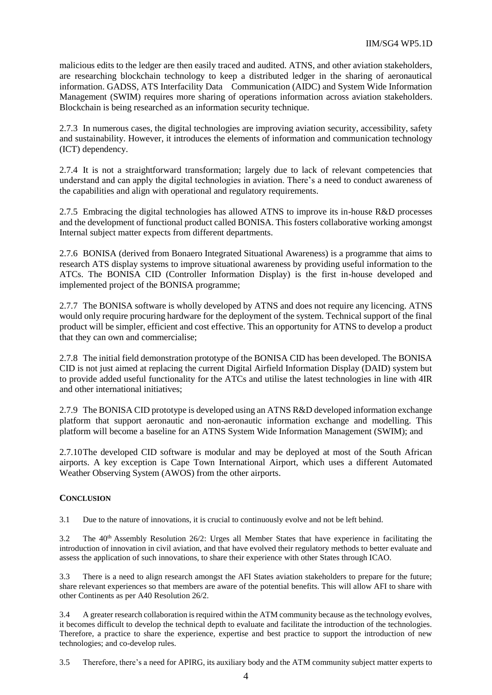malicious edits to the ledger are then easily traced and audited. ATNS, and other aviation stakeholders, are researching blockchain technology to keep a distributed ledger in the sharing of aeronautical information. GADSS, ATS Interfacility Data Communication (AIDC) and System Wide Information Management (SWIM) requires more sharing of operations information across aviation stakeholders. Blockchain is being researched as an information security technique.

2.7.3 In numerous cases, the digital technologies are improving aviation security, accessibility, safety and sustainability. However, it introduces the elements of information and communication technology (ICT) dependency.

2.7.4 It is not a straightforward transformation; largely due to lack of relevant competencies that understand and can apply the digital technologies in aviation. There's a need to conduct awareness of the capabilities and align with operational and regulatory requirements.

2.7.5 Embracing the digital technologies has allowed ATNS to improve its in-house R&D processes and the development of functional product called BONISA. This fosters collaborative working amongst Internal subject matter expects from different departments.

2.7.6 BONISA (derived from Bonaero Integrated Situational Awareness) is a programme that aims to research ATS display systems to improve situational awareness by providing useful information to the ATCs. The BONISA CID (Controller Information Display) is the first in-house developed and implemented project of the BONISA programme;

2.7.7 The BONISA software is wholly developed by ATNS and does not require any licencing. ATNS would only require procuring hardware for the deployment of the system. Technical support of the final product will be simpler, efficient and cost effective. This an opportunity for ATNS to develop a product that they can own and commercialise;

2.7.8 The initial field demonstration prototype of the BONISA CID has been developed. The BONISA CID is not just aimed at replacing the current Digital Airfield Information Display (DAID) system but to provide added useful functionality for the ATCs and utilise the latest technologies in line with 4IR and other international initiatives;

2.7.9 The BONISA CID prototype is developed using an ATNS R&D developed information exchange platform that support aeronautic and non-aeronautic information exchange and modelling. This platform will become a baseline for an ATNS System Wide Information Management (SWIM); and

2.7.10The developed CID software is modular and may be deployed at most of the South African airports. A key exception is Cape Town International Airport, which uses a different Automated Weather Observing System (AWOS) from the other airports.

# **CONCLUSION**

3.1 Due to the nature of innovations, it is crucial to continuously evolve and not be left behind.

3.2 The  $40<sup>th</sup>$  Assembly Resolution 26/2: Urges all Member States that have experience in facilitating the introduction of innovation in civil aviation, and that have evolved their regulatory methods to better evaluate and assess the application of such innovations, to share their experience with other States through ICAO.

3.3 There is a need to align research amongst the AFI States aviation stakeholders to prepare for the future; share relevant experiences so that members are aware of the potential benefits. This will allow AFI to share with other Continents as per A40 Resolution 26/2.

3.4 A greater research collaboration is required within the ATM community because as the technology evolves, it becomes difficult to develop the technical depth to evaluate and facilitate the introduction of the technologies. Therefore, a practice to share the experience, expertise and best practice to support the introduction of new technologies; and co-develop rules.

3.5 Therefore, there's a need for APIRG, its auxiliary body and the ATM community subject matter experts to